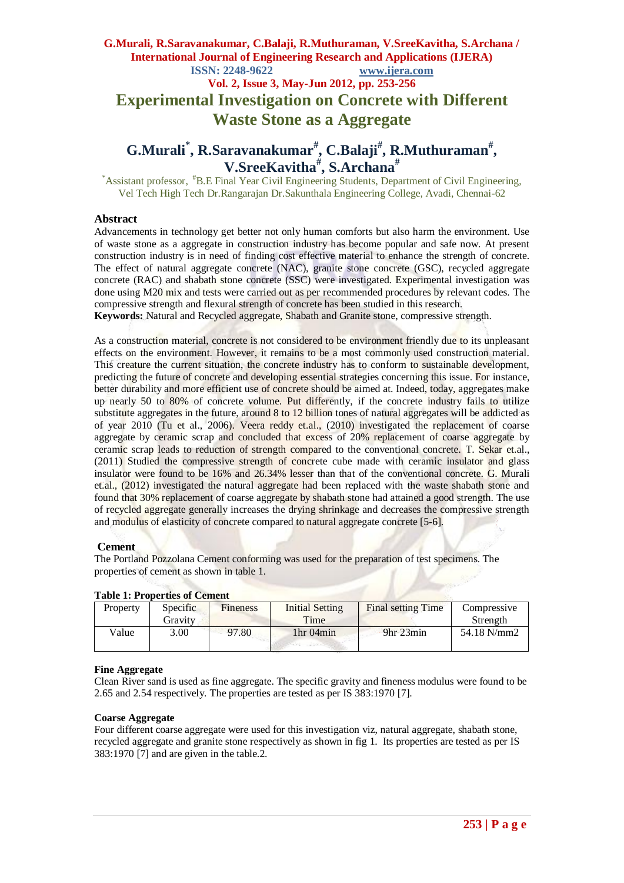## **G.Murali, R.Saravanakumar, C.Balaji, R.Muthuraman, V.SreeKavitha, S.Archana / International Journal of Engineering Research and Applications (IJERA) ISSN: 2248-9622 www.ijera.com Vol. 2, Issue 3, May-Jun 2012, pp. 253-256 Experimental Investigation on Concrete with Different Waste Stone as a Aggregate**

# **G.Murali\* , R.Saravanakumar# , C.Balaji# , R.Muthuraman# , V.SreeKavitha# , S.Archana#**

\*Assistant professor, **#**B.E Final Year Civil Engineering Students, Department of Civil Engineering, Vel Tech High Tech Dr.Rangarajan Dr.Sakunthala Engineering College, Avadi, Chennai-62

#### **Abstract**

Advancements in technology get better not only human comforts but also harm the environment. Use of waste stone as a aggregate in construction industry has become popular and safe now. At present construction industry is in need of finding cost effective material to enhance the strength of concrete. The effect of natural aggregate concrete (NAC), granite stone concrete (GSC), recycled aggregate concrete (RAC) and shabath stone concrete (SSC) were investigated. Experimental investigation was done using M20 mix and tests were carried out as per recommended procedures by relevant codes. The compressive strength and flexural strength of concrete has been studied in this research.

**Keywords:** Natural and Recycled aggregate, Shabath and Granite stone, compressive strength.

As a construction material, concrete is not considered to be environment friendly due to its unpleasant effects on the environment. However, it remains to be a most commonly used construction material. This creature the current situation, the concrete industry has to conform to sustainable development. predicting the future of concrete and developing essential strategies concerning this issue. For instance, better durability and more efficient use of concrete should be aimed at. Indeed, today, aggregates make up nearly 50 to 80% of concrete volume. Put differently, if the concrete industry fails to utilize substitute aggregates in the future, around 8 to 12 billion tones of natural aggregates will be addicted as of year 2010 (Tu et al., 2006). Veera reddy et.al., (2010) investigated the replacement of coarse aggregate by ceramic scrap and concluded that excess of 20% replacement of coarse aggregate by ceramic scrap leads to reduction of strength compared to the conventional concrete. T. Sekar et.al., (2011) Studied the compressive strength of concrete cube made with ceramic insulator and glass insulator were found to be 16% and 26.34% lesser than that of the conventional concrete. G. Murali et.al., (2012) investigated the natural aggregate had been replaced with the waste shabath stone and found that 30% replacement of coarse aggregate by shabath stone had attained a good strength. The use of recycled aggregate generally increases the drying shrinkage and decreases the compressive strength and modulus of elasticity of concrete compared to natural aggregate concrete [5-6].

#### **Cement**

The Portland Pozzolana Cement conforming was used for the preparation of test specimens. The properties of cement as shown in table 1.

|          | Tuote II TToperaco of Cement |                 |                                    |                                   |             |
|----------|------------------------------|-----------------|------------------------------------|-----------------------------------|-------------|
| Property | Specific                     | <b>Fineness</b> | <b>Initial Setting</b>             | <b>Final setting Time</b>         | Compressive |
|          | Gravitv                      |                 | Time                               |                                   | Strength    |
| Value    | 3.00                         | 97.80           | 1 <sub>hr</sub> 0 <sub>4</sub> min | 9 <sup>hr</sup> 23 <sup>min</sup> | 54.18 N/mm2 |
|          |                              |                 |                                    |                                   |             |

#### **Table 1: Properties of Cement**

#### **Fine Aggregate**

Clean River sand is used as fine aggregate. The specific gravity and fineness modulus were found to be 2.65 and 2.54 respectively. The properties are tested as per IS 383:1970 [7].

#### **Coarse Aggregate**

Four different coarse aggregate were used for this investigation viz, natural aggregate, shabath stone, recycled aggregate and granite stone respectively as shown in fig 1. Its properties are tested as per IS 383:1970 [7] and are given in the table.2.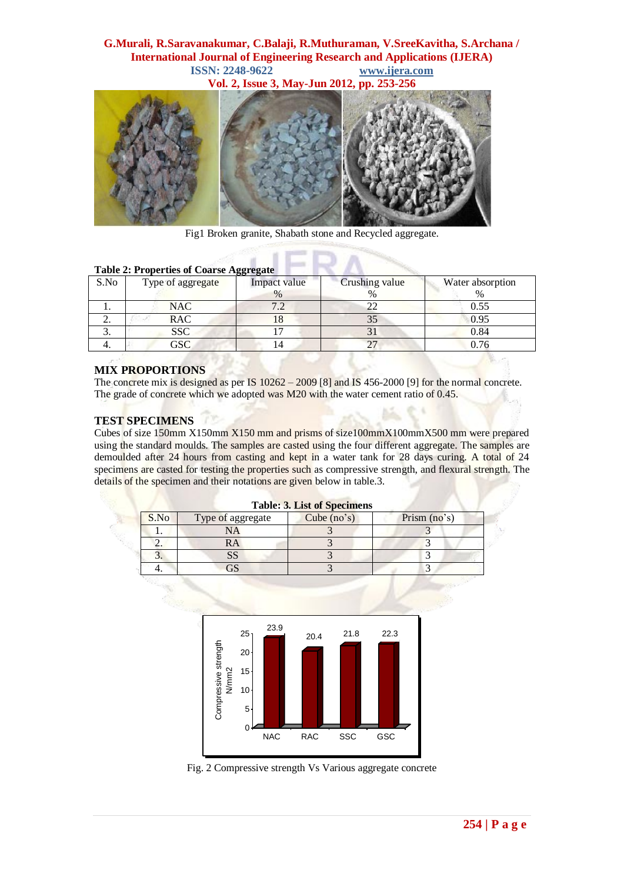# **G.Murali, R.Saravanakumar, C.Balaji, R.Muthuraman, V.SreeKavitha, S.Archana / International Journal of Engineering Research and Applications (IJERA) ISSN: 2248-9622 www.ijera.com**

**Vol. 2, Issue 3, May-Jun 2012, pp. 253-256**



Fig1 Broken granite, Shabath stone and Recycled aggregate.

#### **Table 2: Properties of Coarse Aggregate**

TYC

|          | Tuble 2. 11 operator of Course 11551 egale | Crushing value<br>Water absorption<br>Impact value<br>$\%$ |  |      |  |
|----------|--------------------------------------------|------------------------------------------------------------|--|------|--|
| S.No     | Type of aggregate                          |                                                            |  |      |  |
|          | <b>NAC</b>                                 | $\cdot$                                                    |  | 0.55 |  |
| <u>.</u> | <b>RAC</b>                                 | . O                                                        |  | 0.95 |  |
| J.       | <b>SSC</b>                                 |                                                            |  | 0.84 |  |
| т.       | GSC                                        |                                                            |  |      |  |

### **MIX PROPORTIONS**

The concrete mix is designed as per IS  $10262 - 2009$  [8] and IS 456-2000 [9] for the normal concrete. The grade of concrete which we adopted was M20 with the water cement ratio of 0.45.

### **TEST SPECIMENS**

Cubes of size 150mm X150mm X150 mm and prisms of size100mmX100mmX500 mm were prepared using the standard moulds. The samples are casted using the four different aggregate. The samples are demoulded after 24 hours from casting and kept in a water tank for 28 days curing. A total of 24 specimens are casted for testing the properties such as compressive strength, and flexural strength. The details of the specimen and their notations are given below in table.3.

| <b>Table: 3. List of Specimens</b> |                   |               |              |  |  |  |
|------------------------------------|-------------------|---------------|--------------|--|--|--|
| S.No                               | Type of aggregate | Cube $(no's)$ | Prism (no's) |  |  |  |
|                                    |                   |               |              |  |  |  |
|                                    | RA                |               |              |  |  |  |
|                                    |                   |               |              |  |  |  |
|                                    |                   |               |              |  |  |  |



Fig. 2 Compressive strength Vs Various aggregate concrete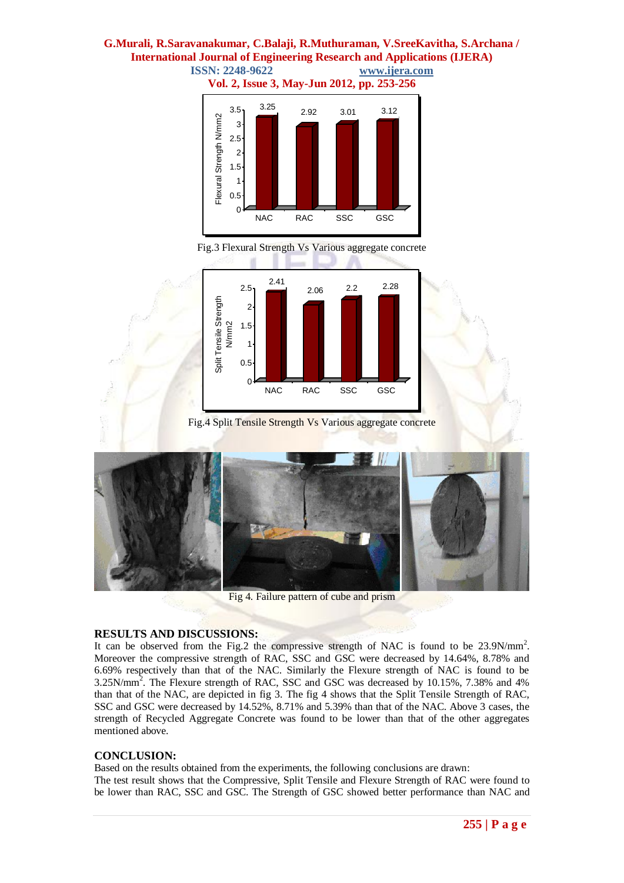#### **G.Murali, R.Saravanakumar, C.Balaji, R.Muthuraman, V.SreeKavitha, S.Archana / International Journal of Engineering Research and Applications (IJERA) ISSN: 2248-9622 www.ijera.com**



Fig.3 Flexural Strength Vs Various aggregate concrete



Fig.4 Split Tensile Strength Vs Various aggregate concrete



Fig 4. Failure pattern of cube and prism

### **RESULTS AND DISCUSSIONS:**

It can be observed from the Fig.2 the compressive strength of NAC is found to be 23.9N/mm<sup>2</sup>. Moreover the compressive strength of RAC, SSC and GSC were decreased by 14.64%, 8.78% and 6.69% respectively than that of the NAC. Similarly the Flexure strength of NAC is found to be 3.25N/mm<sup>2</sup> . The Flexure strength of RAC, SSC and GSC was decreased by 10.15%, 7.38% and 4% than that of the NAC, are depicted in fig 3. The fig 4 shows that the Split Tensile Strength of RAC, SSC and GSC were decreased by 14.52%, 8.71% and 5.39% than that of the NAC. Above 3 cases, the strength of Recycled Aggregate Concrete was found to be lower than that of the other aggregates mentioned above.

#### **CONCLUSION:**

Based on the results obtained from the experiments, the following conclusions are drawn:

The test result shows that the Compressive, Split Tensile and Flexure Strength of RAC were found to be lower than RAC, SSC and GSC. The Strength of GSC showed better performance than NAC and